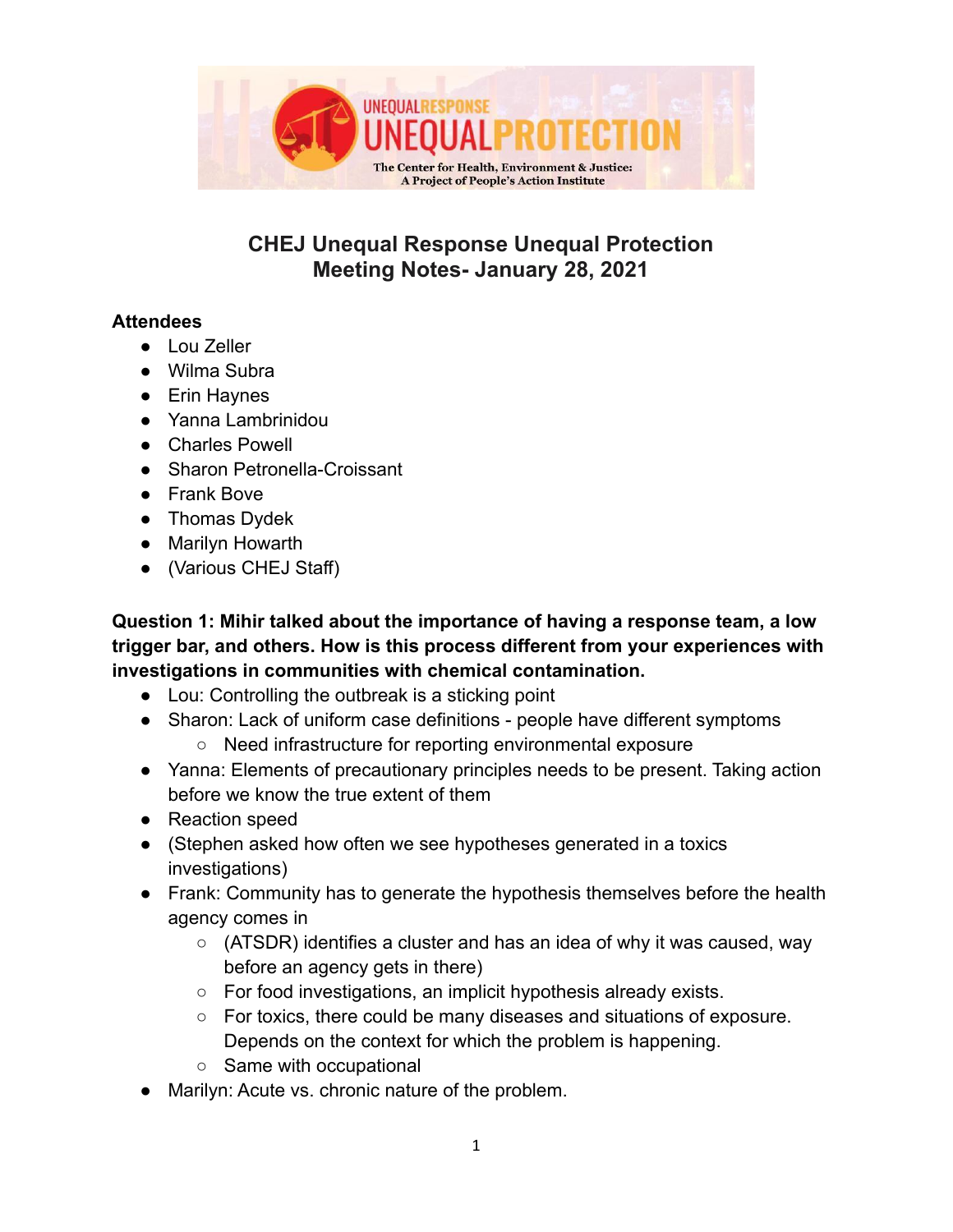

# **CHEJ Unequal Response Unequal Protection Meeting Notes- January 28, 2021**

#### **Attendees**

- Lou Zeller
- Wilma Subra
- Erin Haynes
- Yanna Lambrinidou
- Charles Powell
- Sharon Petronella-Croissant
- Frank Bove
- Thomas Dydek
- Marilyn Howarth
- (Various CHEJ Staff)

**Question 1: Mihir talked about the importance of having a response team, a low trigger bar, and others. How is this process different from your experiences with investigations in communities with chemical contamination.**

- Lou: Controlling the outbreak is a sticking point
- Sharon: Lack of uniform case definitions people have different symptoms ○ Need infrastructure for reporting environmental exposure
- Yanna: Elements of precautionary principles needs to be present. Taking action before we know the true extent of them
- Reaction speed
- (Stephen asked how often we see hypotheses generated in a toxics investigations)
- Frank: Community has to generate the hypothesis themselves before the health agency comes in
	- (ATSDR) identifies a cluster and has an idea of why it was caused, way before an agency gets in there)
	- For food investigations, an implicit hypothesis already exists.
	- For toxics, there could be many diseases and situations of exposure. Depends on the context for which the problem is happening.
	- Same with occupational
- Marilyn: Acute vs. chronic nature of the problem.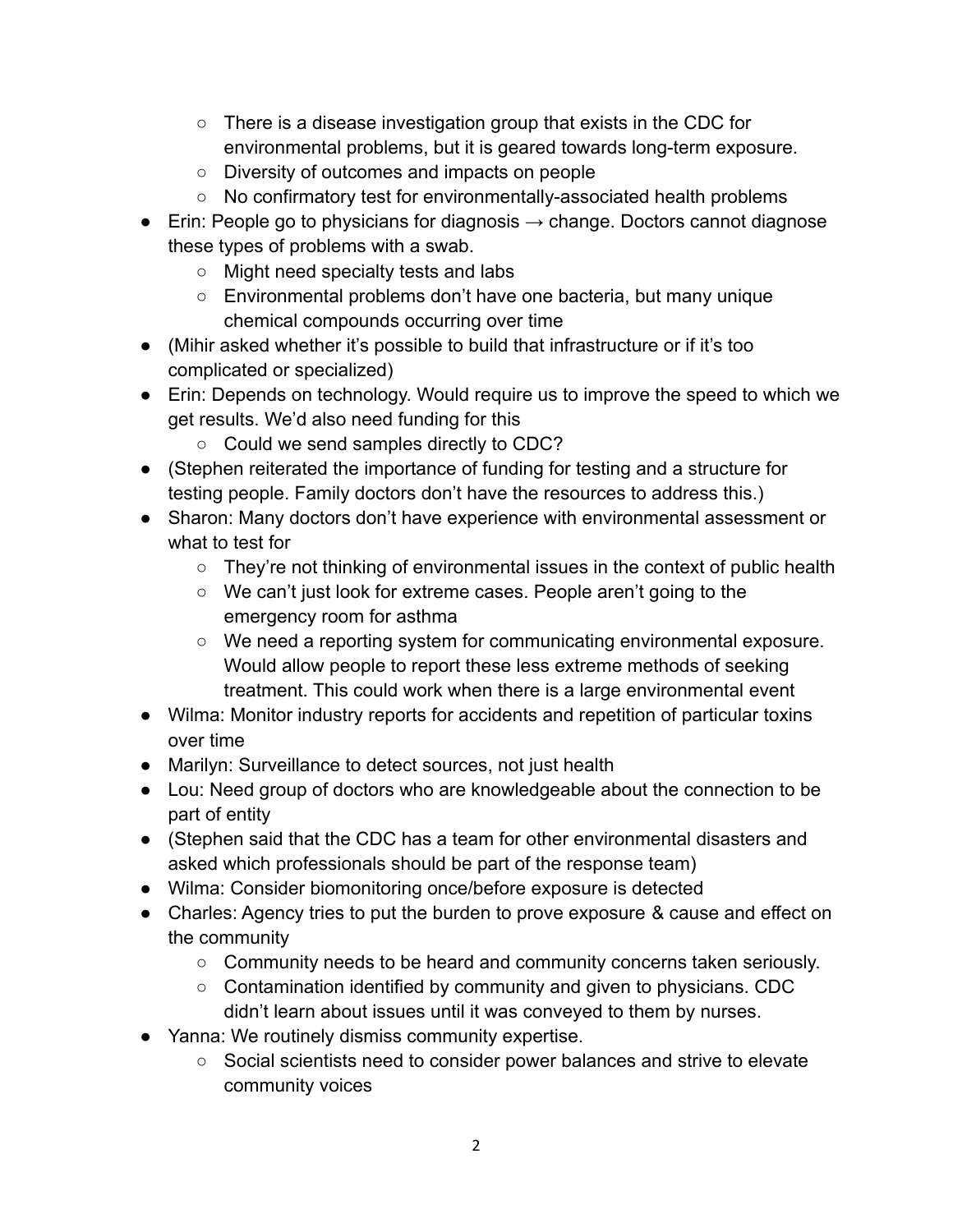- $\circ$  There is a disease investigation group that exists in the CDC for environmental problems, but it is geared towards long-term exposure.
- Diversity of outcomes and impacts on people
- No confirmatory test for environmentally-associated health problems
- $\bullet$  Erin: People go to physicians for diagnosis  $\rightarrow$  change. Doctors cannot diagnose these types of problems with a swab.
	- Might need specialty tests and labs
	- Environmental problems don't have one bacteria, but many unique chemical compounds occurring over time
- (Mihir asked whether it's possible to build that infrastructure or if it's too complicated or specialized)
- Erin: Depends on technology. Would require us to improve the speed to which we get results. We'd also need funding for this
	- Could we send samples directly to CDC?
- (Stephen reiterated the importance of funding for testing and a structure for testing people. Family doctors don't have the resources to address this.)
- Sharon: Many doctors don't have experience with environmental assessment or what to test for
	- They're not thinking of environmental issues in the context of public health
	- We can't just look for extreme cases. People aren't going to the emergency room for asthma
	- We need a reporting system for communicating environmental exposure. Would allow people to report these less extreme methods of seeking treatment. This could work when there is a large environmental event
- Wilma: Monitor industry reports for accidents and repetition of particular toxins over time
- Marilyn: Surveillance to detect sources, not just health
- Lou: Need group of doctors who are knowledgeable about the connection to be part of entity
- (Stephen said that the CDC has a team for other environmental disasters and asked which professionals should be part of the response team)
- Wilma: Consider biomonitoring once/before exposure is detected
- Charles: Agency tries to put the burden to prove exposure & cause and effect on the community
	- Community needs to be heard and community concerns taken seriously.
	- Contamination identified by community and given to physicians. CDC didn't learn about issues until it was conveyed to them by nurses.
- Yanna: We routinely dismiss community expertise.
	- Social scientists need to consider power balances and strive to elevate community voices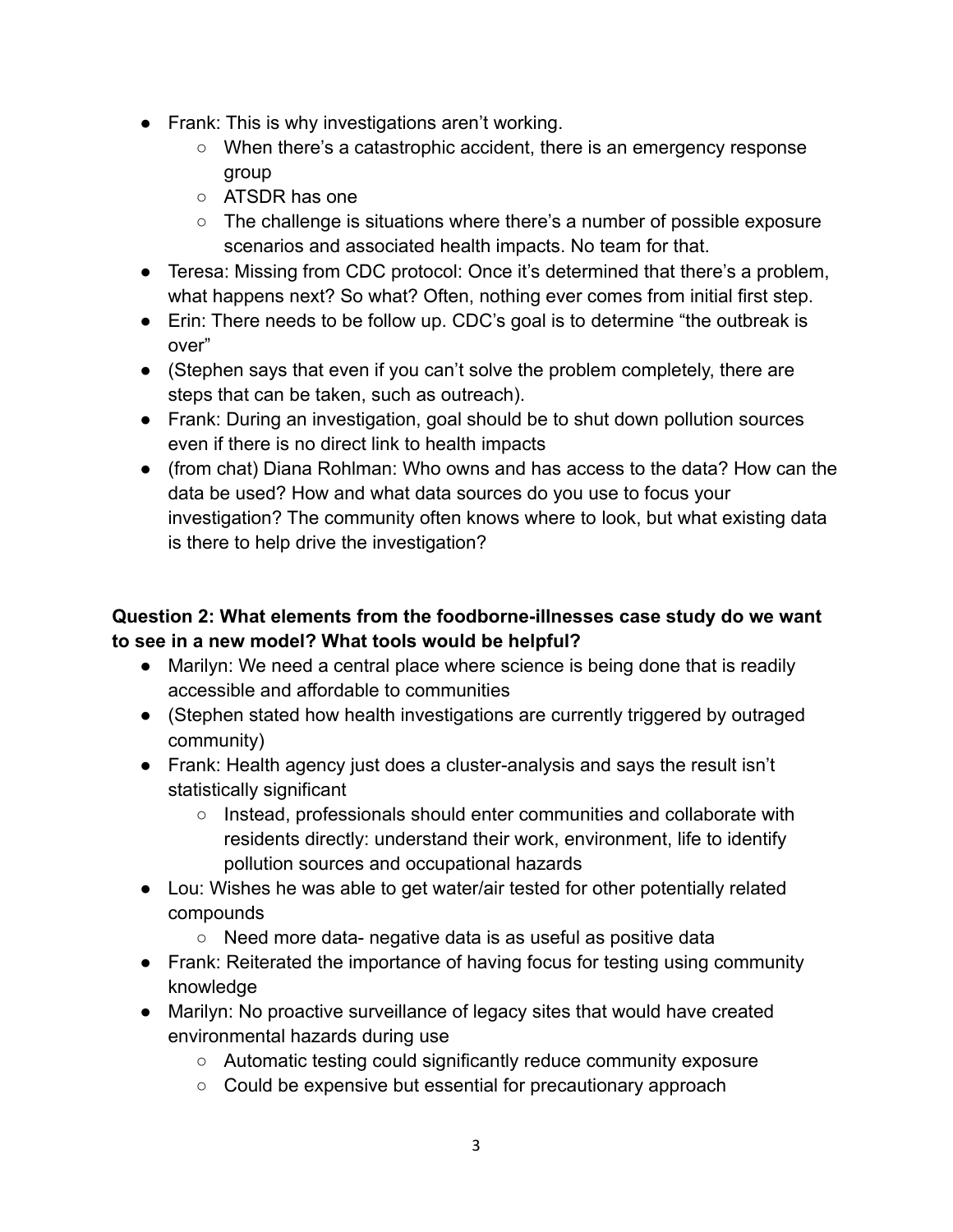- Frank: This is why investigations aren't working.
	- When there's a catastrophic accident, there is an emergency response group
	- ATSDR has one
	- The challenge is situations where there's a number of possible exposure scenarios and associated health impacts. No team for that.
- Teresa: Missing from CDC protocol: Once it's determined that there's a problem, what happens next? So what? Often, nothing ever comes from initial first step.
- Erin: There needs to be follow up. CDC's goal is to determine "the outbreak is over"
- (Stephen says that even if you can't solve the problem completely, there are steps that can be taken, such as outreach).
- Frank: During an investigation, goal should be to shut down pollution sources even if there is no direct link to health impacts
- (from chat) Diana Rohlman: Who owns and has access to the data? How can the data be used? How and what data sources do you use to focus your investigation? The community often knows where to look, but what existing data is there to help drive the investigation?

### **Question 2: What elements from the foodborne-illnesses case study do we want to see in a new model? What tools would be helpful?**

- Marilyn: We need a central place where science is being done that is readily accessible and affordable to communities
- (Stephen stated how health investigations are currently triggered by outraged community)
- Frank: Health agency just does a cluster-analysis and says the result isn't statistically significant
	- Instead, professionals should enter communities and collaborate with residents directly: understand their work, environment, life to identify pollution sources and occupational hazards
- Lou: Wishes he was able to get water/air tested for other potentially related compounds
	- Need more data- negative data is as useful as positive data
- Frank: Reiterated the importance of having focus for testing using community knowledge
- Marilyn: No proactive surveillance of legacy sites that would have created environmental hazards during use
	- Automatic testing could significantly reduce community exposure
	- Could be expensive but essential for precautionary approach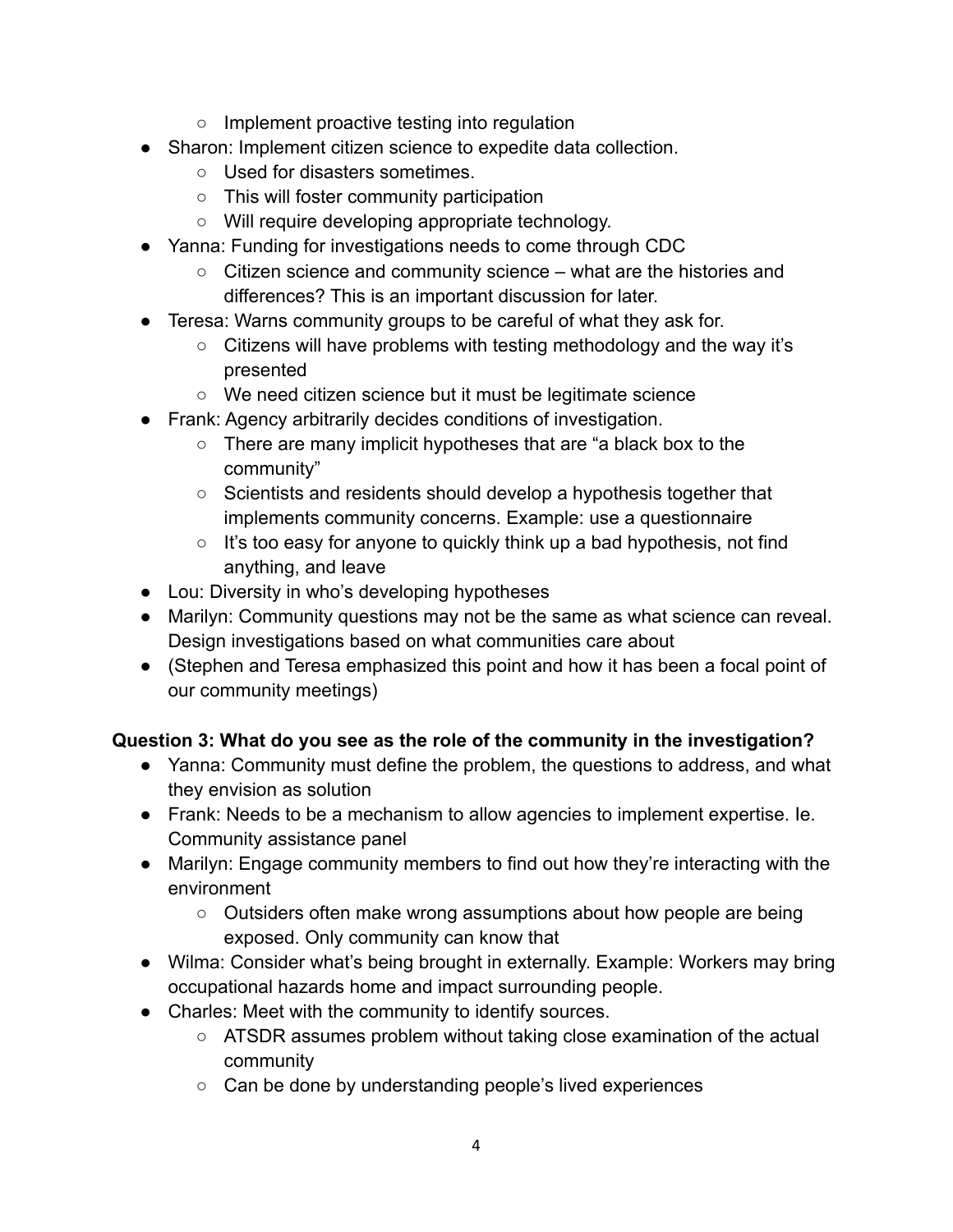- Implement proactive testing into regulation
- Sharon: Implement citizen science to expedite data collection.
	- Used for disasters sometimes.
	- This will foster community participation
	- Will require developing appropriate technology.
- Yanna: Funding for investigations needs to come through CDC
	- Citizen science and community science what are the histories and differences? This is an important discussion for later.
- Teresa: Warns community groups to be careful of what they ask for.
	- Citizens will have problems with testing methodology and the way it's presented
	- We need citizen science but it must be legitimate science
- Frank: Agency arbitrarily decides conditions of investigation.
	- There are many implicit hypotheses that are "a black box to the community"
	- Scientists and residents should develop a hypothesis together that implements community concerns. Example: use a questionnaire
	- It's too easy for anyone to quickly think up a bad hypothesis, not find anything, and leave
- Lou: Diversity in who's developing hypotheses
- Marilyn: Community questions may not be the same as what science can reveal. Design investigations based on what communities care about
- (Stephen and Teresa emphasized this point and how it has been a focal point of our community meetings)

### **Question 3: What do you see as the role of the community in the investigation?**

- Yanna: Community must define the problem, the questions to address, and what they envision as solution
- Frank: Needs to be a mechanism to allow agencies to implement expertise. Ie. Community assistance panel
- Marilyn: Engage community members to find out how they're interacting with the environment
	- Outsiders often make wrong assumptions about how people are being exposed. Only community can know that
- Wilma: Consider what's being brought in externally. Example: Workers may bring occupational hazards home and impact surrounding people.
- Charles: Meet with the community to identify sources.
	- ATSDR assumes problem without taking close examination of the actual community
	- Can be done by understanding people's lived experiences